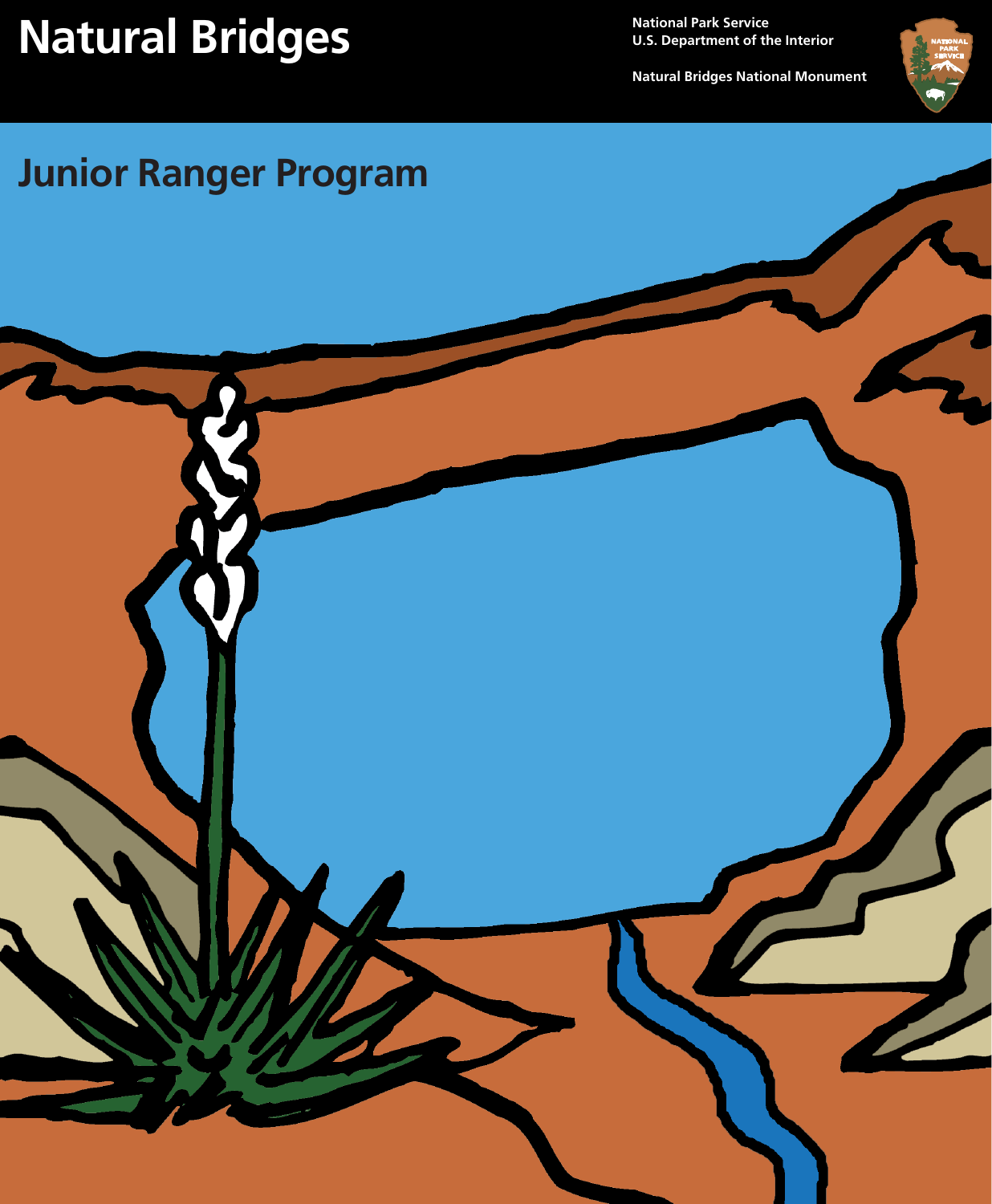# **Natural Bridges National Park Service**

**U.S. Department of the Interior**

**Natural Bridges National Monument**



#### **Junior Ranger Program**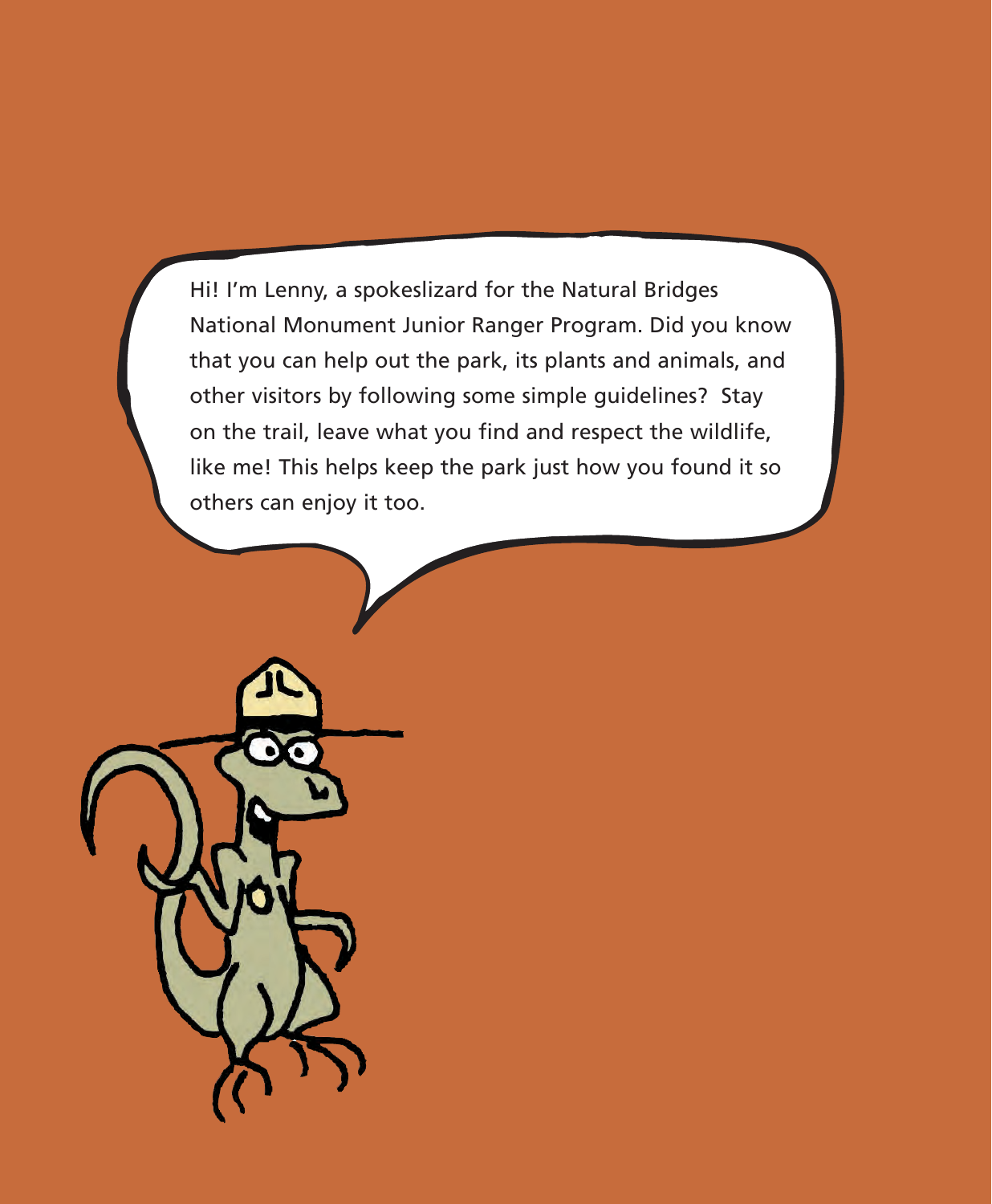Hi! I'm Lenny, a spokeslizard for the Natural Bridges National Monument Junior Ranger Program. Did you know that you can help out the park, its plants and animals, and other visitors by following some simple guidelines? Stay on the trail, leave what you find and respect the wildlife, like me! This helps keep the park just how you found it so others can enjoy it too.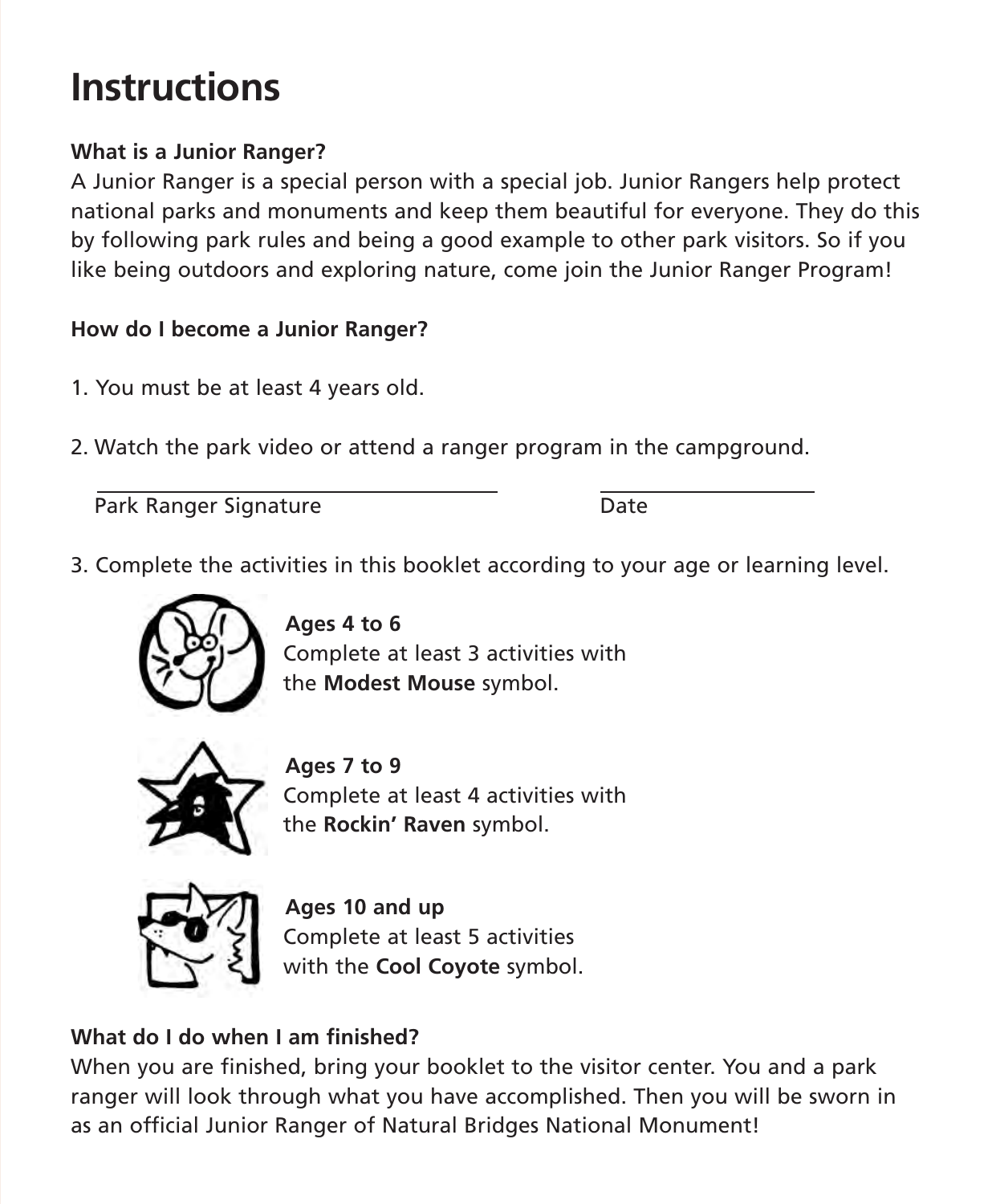### **Instructions**

#### **What is a Junior Ranger?**

A Junior Ranger is a special person with a special job. Junior Rangers help protect national parks and monuments and keep them beautiful for everyone. They do this by following park rules and being a good example to other park visitors. So if you like being outdoors and exploring nature, come join the Junior Ranger Program!

#### **How do I become a Junior Ranger?**

- 1. You must be at least 4 years old.
- 2. Watch the park video or attend a ranger program in the campground.

Park Ranger Signature **Date** 

3. Complete the activities in this booklet according to your age or learning level.



**Ages 4 to 6** Complete at least 3 activities with the **Modest Mouse** symbol.



**Ages 7 to 9** Complete at least 4 activities with the **Rockin' Raven** symbol.



**Ages 10 and up** Complete at least 5 activities with the **Cool Coyote** symbol.

#### **What do I do when I am finished?**

When you are finished, bring your booklet to the visitor center. You and a park ranger will look through what you have accomplished. Then you will be sworn in as an official Junior Ranger of Natural Bridges National Monument!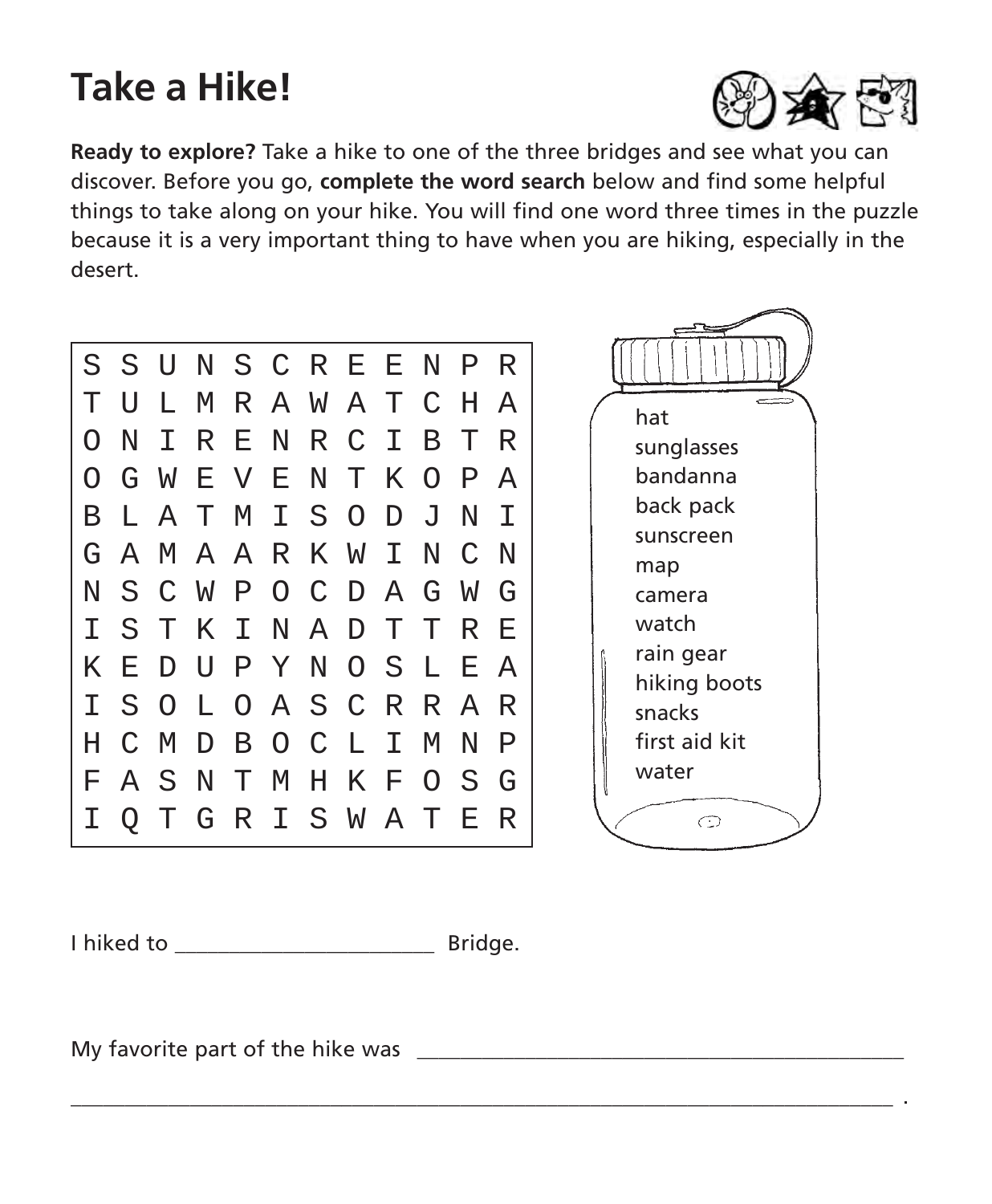### **Take a Hike!**

**Ready to explore?** Take a hike to one of the three bridges and see what you can discover. Before you go, **complete the word search** below and find some helpful things to take along on your hike. You will find one word three times in the puzzle because it is a very important thing to have when you are hiking, especially in the desert.



\_\_\_\_\_\_\_\_\_\_\_\_\_\_\_\_\_\_\_\_\_\_\_\_\_\_\_\_\_\_\_\_\_\_\_\_\_\_\_\_\_\_\_\_\_\_\_\_\_\_\_\_\_\_\_\_\_\_\_\_\_\_\_\_\_\_\_\_\_\_\_\_\_\_\_\_ .

I hiked to **Example 1** biked to **Bridge**.

My favorite part of the hike was \_\_\_\_\_\_\_\_\_\_\_\_\_\_\_\_\_\_\_\_\_\_\_\_\_\_\_\_\_\_\_\_\_\_\_\_\_\_\_\_\_\_\_\_\_

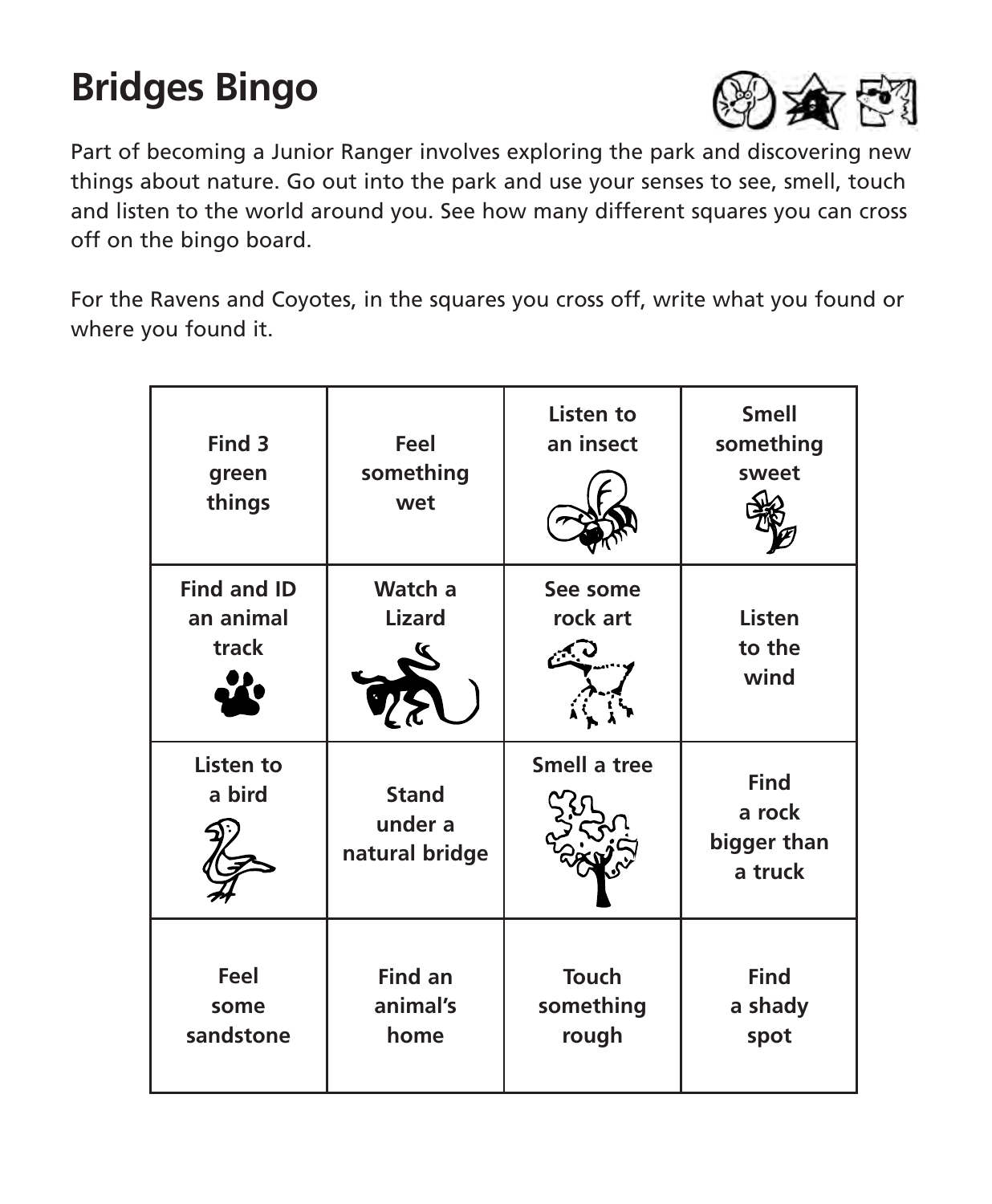## **Bridges Bingo**



Part of becoming a Junior Ranger involves exploring the park and discovering new things about nature. Go out into the park and use your senses to see, smell, touch and listen to the world around you. See how many different squares you can cross off on the bingo board.

For the Ravens and Coyotes, in the squares you cross off, write what you found or where you found it.

| Find 3<br>green<br>things                | Feel<br>something<br>wet                  | Listen to<br>an insect             | <b>Smell</b><br>something<br>sweet              |
|------------------------------------------|-------------------------------------------|------------------------------------|-------------------------------------------------|
| <b>Find and ID</b><br>an animal<br>track | Watch a<br><b>Lizard</b>                  | See some<br>rock art               | <b>Listen</b><br>to the<br>wind                 |
| Listen to<br>a bird                      | <b>Stand</b><br>under a<br>natural bridge | Smell a tree                       | <b>Find</b><br>a rock<br>bigger than<br>a truck |
| Feel<br>some<br>sandstone                | <b>Find an</b><br>animal's<br>home        | <b>Touch</b><br>something<br>rough | <b>Find</b><br>a shady<br>spot                  |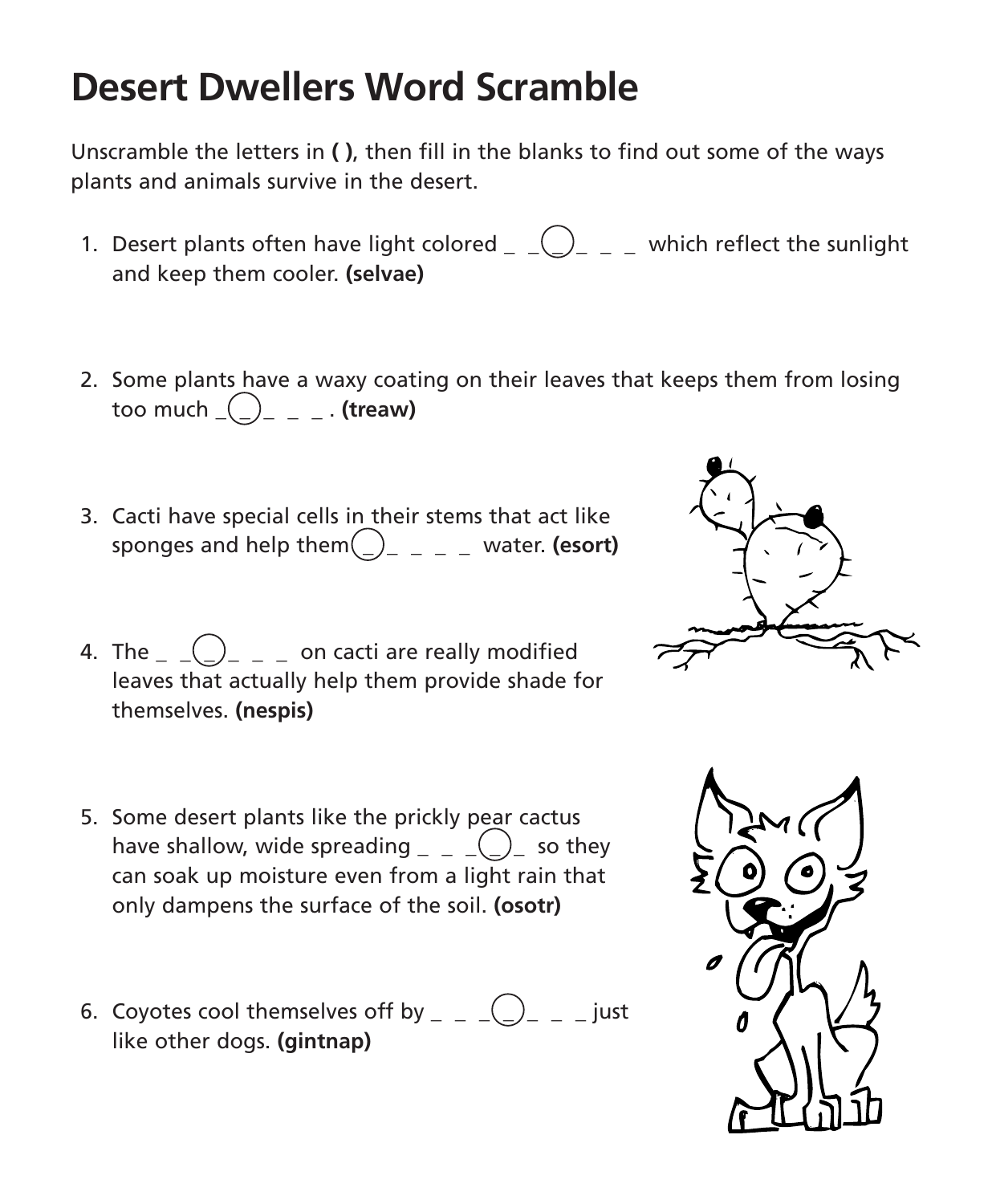### **Desert Dwellers Word Scramble**

Unscramble the letters in **( )**, then fill in the blanks to find out some of the ways plants and animals survive in the desert.

- 1. Desert plants often have light colored  $\_$   $\_$   $\_$   $\_$   $\_$   $\_$  which reflect the sunlight and keep them cooler. **(selvae)**
- 2. Some plants have a waxy coating on their leaves that keeps them from losing too much  $( )_{-}$   $_{-}$   $_{-}$   $\cdot$  (treaw)
- 3. Cacti have special cells in their stems that act like sponges and help them $\bigcirc$ <sub>---</sub>- water. (esort)
- 4. The  $\Box$   $\Box$   $\Box$   $\Box$  on cacti are really modified leaves that actually help them provide shade for themselves. **(nespis)**
- 5. Some desert plants like the prickly pear cactus have shallow, wide spreading  $_{-}$   $_{-}$   $_{-}$   $_{-}$  so they can soak up moisture even from a light rain that only dampens the surface of the soil. **(osotr)**
- 6. Coyotes cool themselves off by \_ \_ \_ \_ \_ \_ \_ just like other dogs. **(gintnap)**



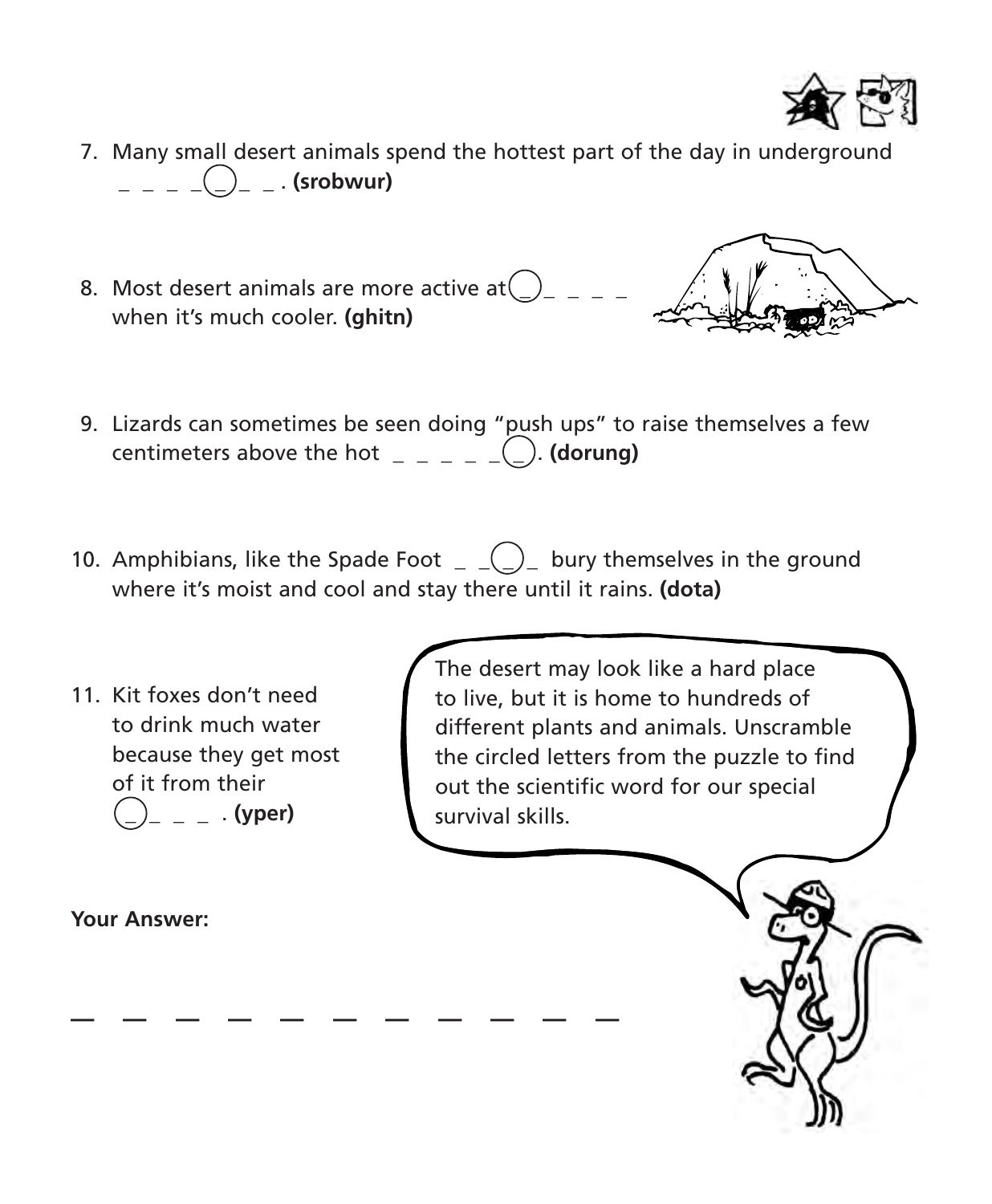

- 7. Many small desert animals spend the hottest part of the day in underground \_ \_ \_ \_ \_ \_ \_ . **(srobwur)**
- 8. Most desert animals are more active at  $\binom{1}{r}$  \_ when it's much cooler. **(ghitn)**
- 9. Lizards can sometimes be seen doing "push ups" to raise themselves a few centimeters above the hot  $\begin{bmatrix} 0 & 1 \end{bmatrix}$   $\begin{bmatrix} 0 & 0 \end{bmatrix}$ . (dorung)
- 10. Amphibians, like the Spade Foot  $\begin{bmatrix} 0 \end{bmatrix}$  bury themselves in the ground where it's moist and cool and stay there until it rains. **(dota)**
- 11. Kit foxes don't need to drink much water because they get most of it from their \_ \_ \_ \_ . **(yper)**

\_ \_ \_ \_ \_ \_ \_ \_ \_ \_ \_ \_

**Your Answer:**

The desert may look like a hard place to live, but it is home to hundreds of different plants and animals. Unscramble the circled letters from the puzzle to find out the scientific word for our special survival skills.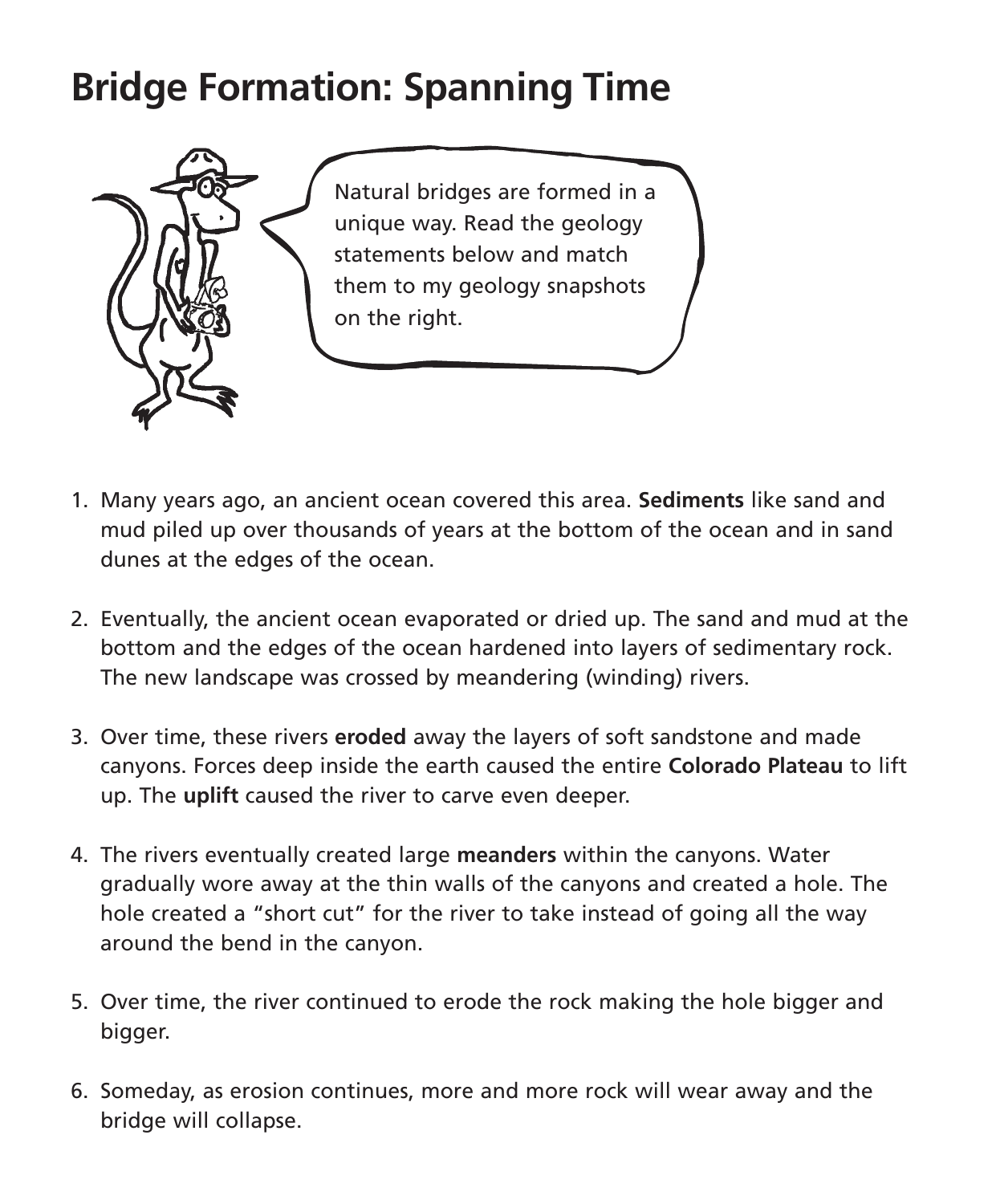### **Bridge Formation: Spanning Time**



Natural bridges are formed in a unique way. Read the geology statements below and match them to my geology snapshots on the right.

- 1. Many years ago, an ancient ocean covered this area. **Sediments** like sand and mud piled up over thousands of years at the bottom of the ocean and in sand dunes at the edges of the ocean.
- 2. Eventually, the ancient ocean evaporated or dried up. The sand and mud at the bottom and the edges of the ocean hardened into layers of sedimentary rock. The new landscape was crossed by meandering (winding) rivers.
- 3. Over time, these rivers **eroded** away the layers of soft sandstone and made canyons. Forces deep inside the earth caused the entire **Colorado Plateau** to lift up. The **uplift** caused the river to carve even deeper.
- 4. The rivers eventually created large **meanders** within the canyons. Water gradually wore away at the thin walls of the canyons and created a hole. The hole created a "short cut" for the river to take instead of going all the way around the bend in the canyon.
- 5. Over time, the river continued to erode the rock making the hole bigger and bigger.
- 6. Someday, as erosion continues, more and more rock will wear away and the bridge will collapse.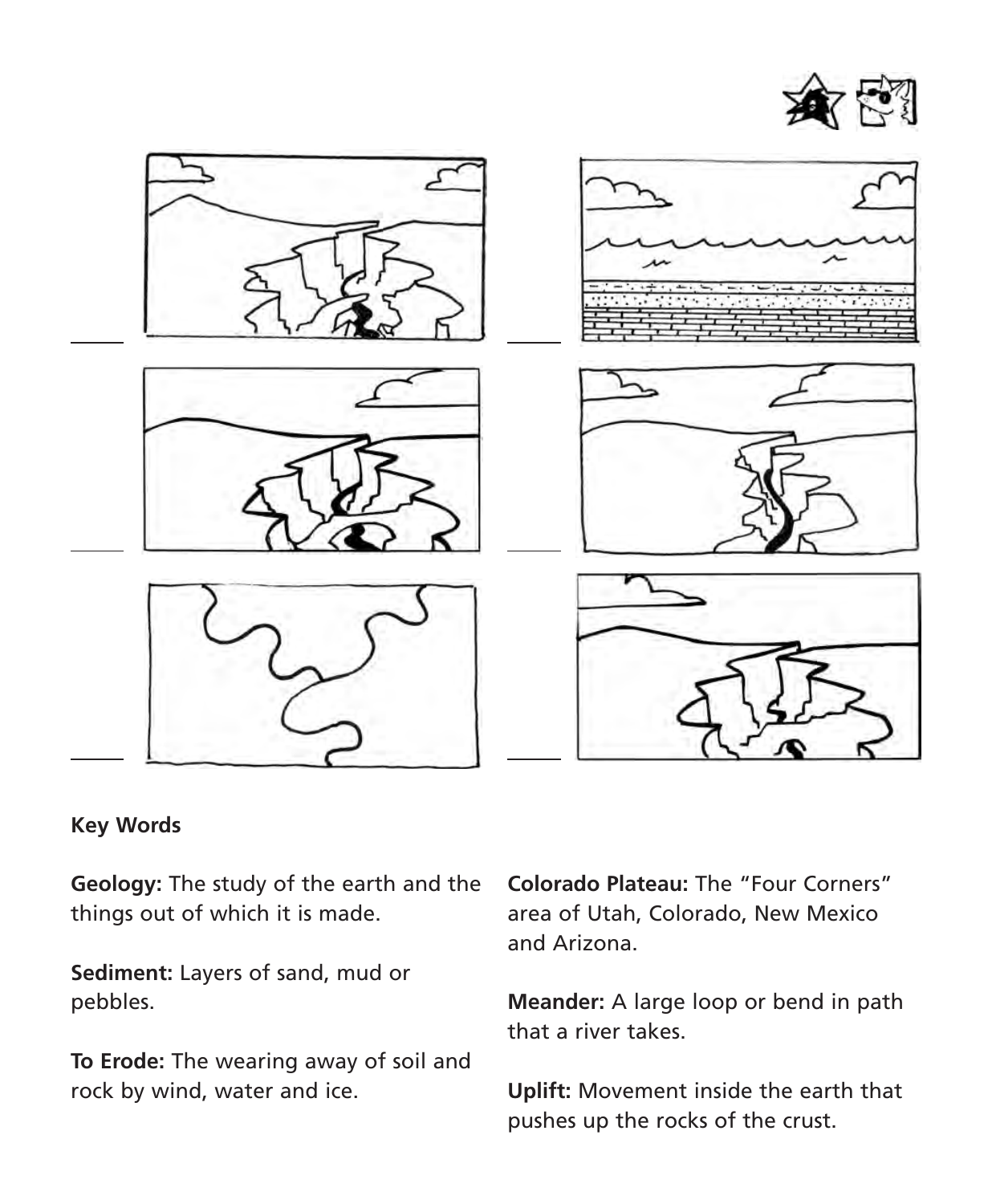



#### **Key Words**

**Geology:** The study of the earth and the things out of which it is made.

**Sediment:** Layers of sand, mud or pebbles.

**To Erode:** The wearing away of soil and rock by wind, water and ice.

**Colorado Plateau:** The "Four Corners" area of Utah, Colorado, New Mexico and Arizona.

**Meander:** A large loop or bend in path that a river takes.

**Uplift:** Movement inside the earth that pushes up the rocks of the crust.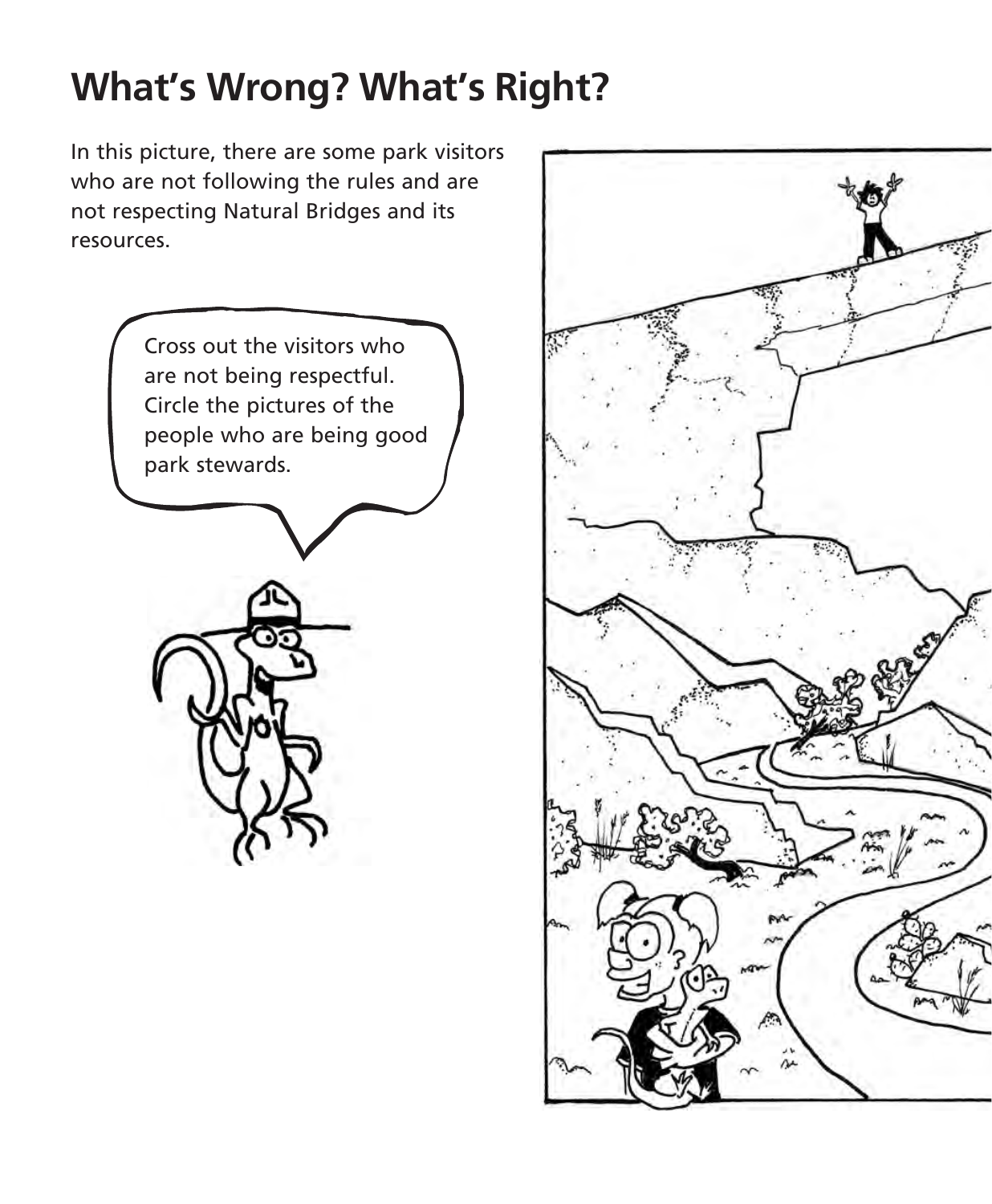## **What's Wrong? What's Right?**

In this picture, there are some park visitors who are not following the rules and are not respecting Natural Bridges and its resources.



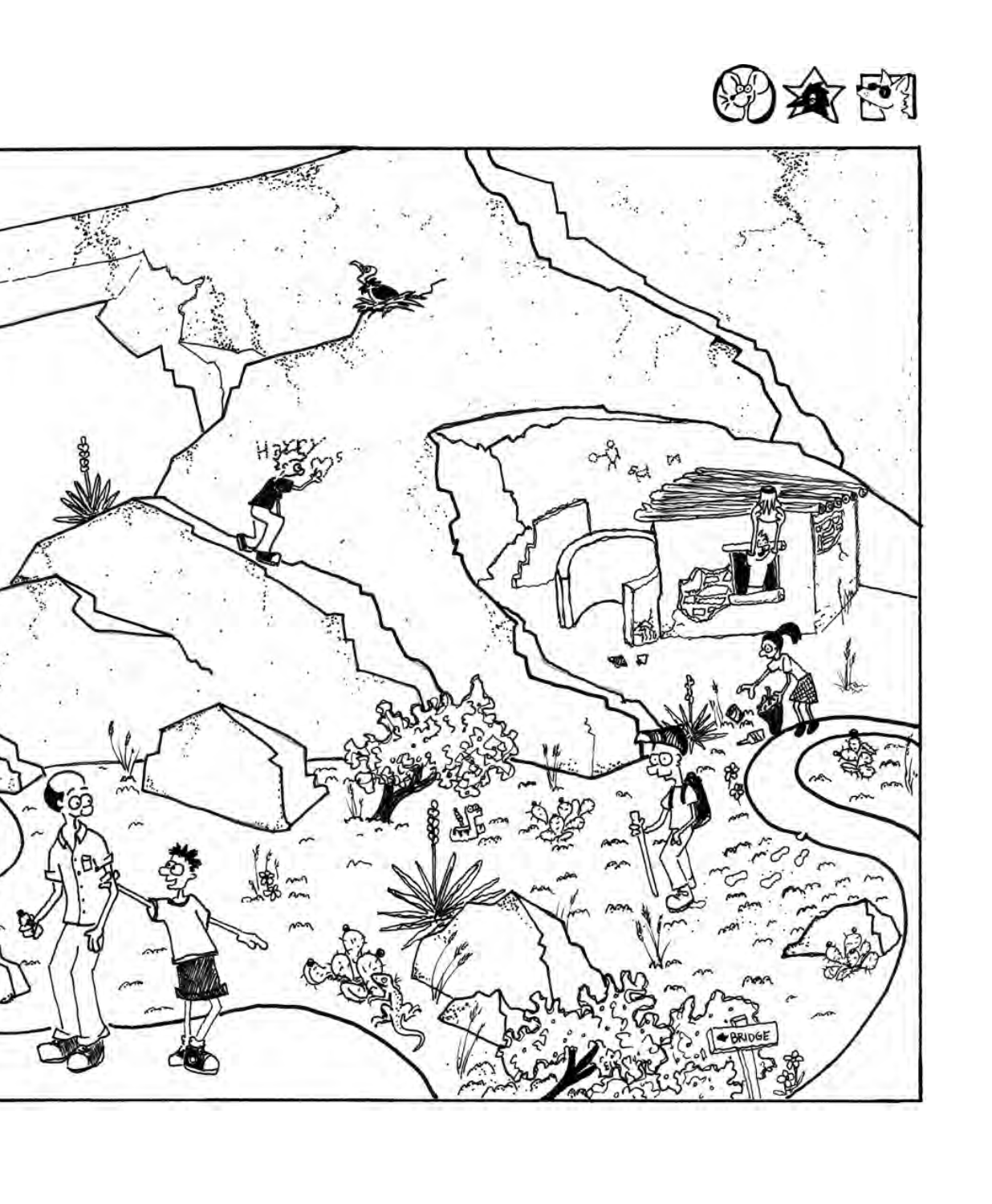

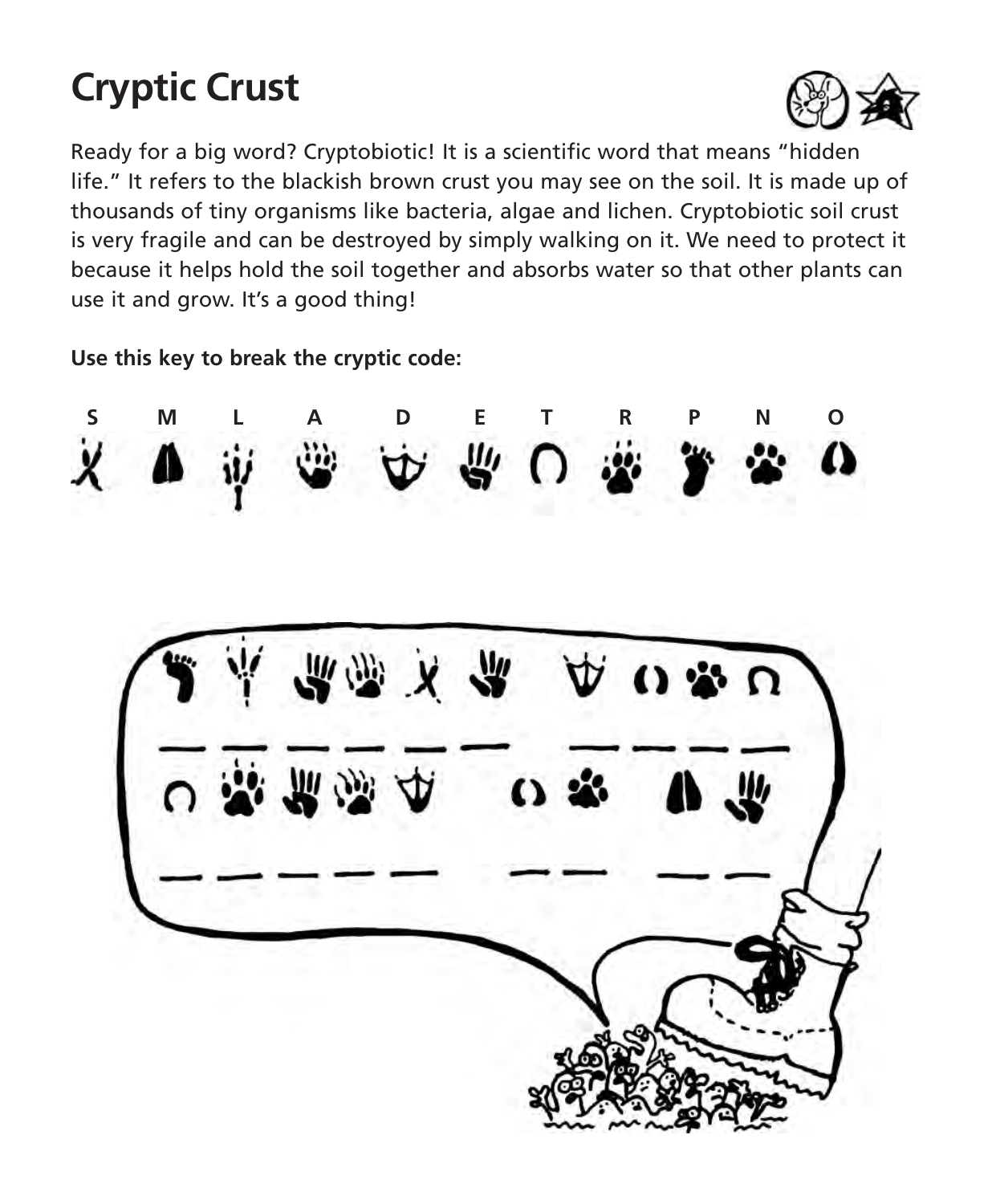## **Cryptic Crust**



Ready for a big word? Cryptobiotic! It is a scientific word that means "hidden life." It refers to the blackish brown crust you may see on the soil. It is made up of thousands of tiny organisms like bacteria, algae and lichen. Cryptobiotic soil crust is very fragile and can be destroyed by simply walking on it. We need to protect it because it helps hold the soil together and absorbs water so that other plants can use it and grow. It's a good thing!

**Use this key to break the cryptic code:**

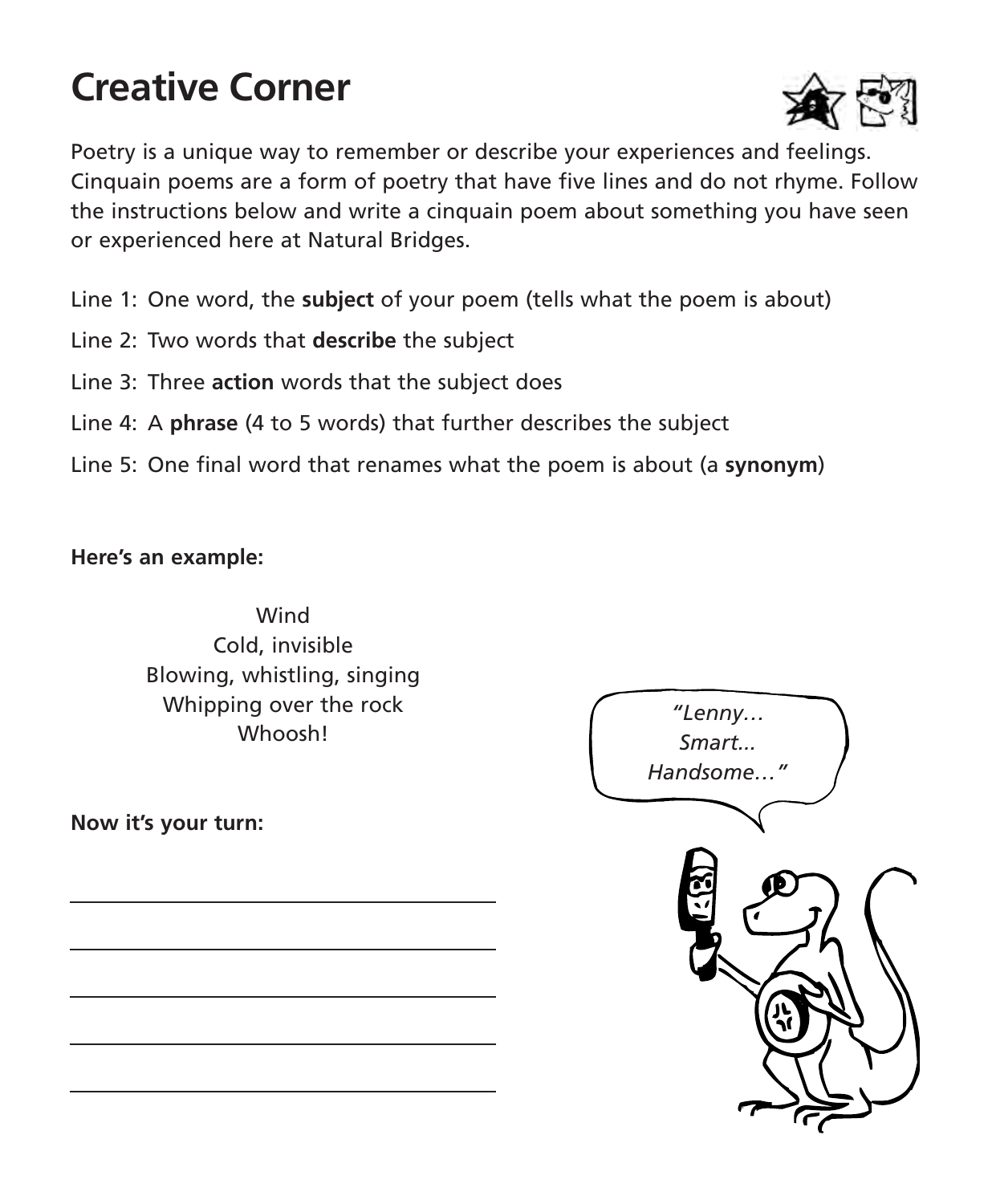### **Creative Corner**



Poetry is a unique way to remember or describe your experiences and feelings. Cinquain poems are a form of poetry that have five lines and do not rhyme. Follow the instructions below and write a cinquain poem about something you have seen or experienced here at Natural Bridges.

Line 1: One word, the **subject** of your poem (tells what the poem is about)

Line 2: Two words that **describe** the subject

Line 3: Three **action** words that the subject does

Line 4: A **phrase** (4 to 5 words) that further describes the subject

Line 5: One final word that renames what the poem is about (a **synonym**)

**Here's an example:**



**Now it's your turn:**

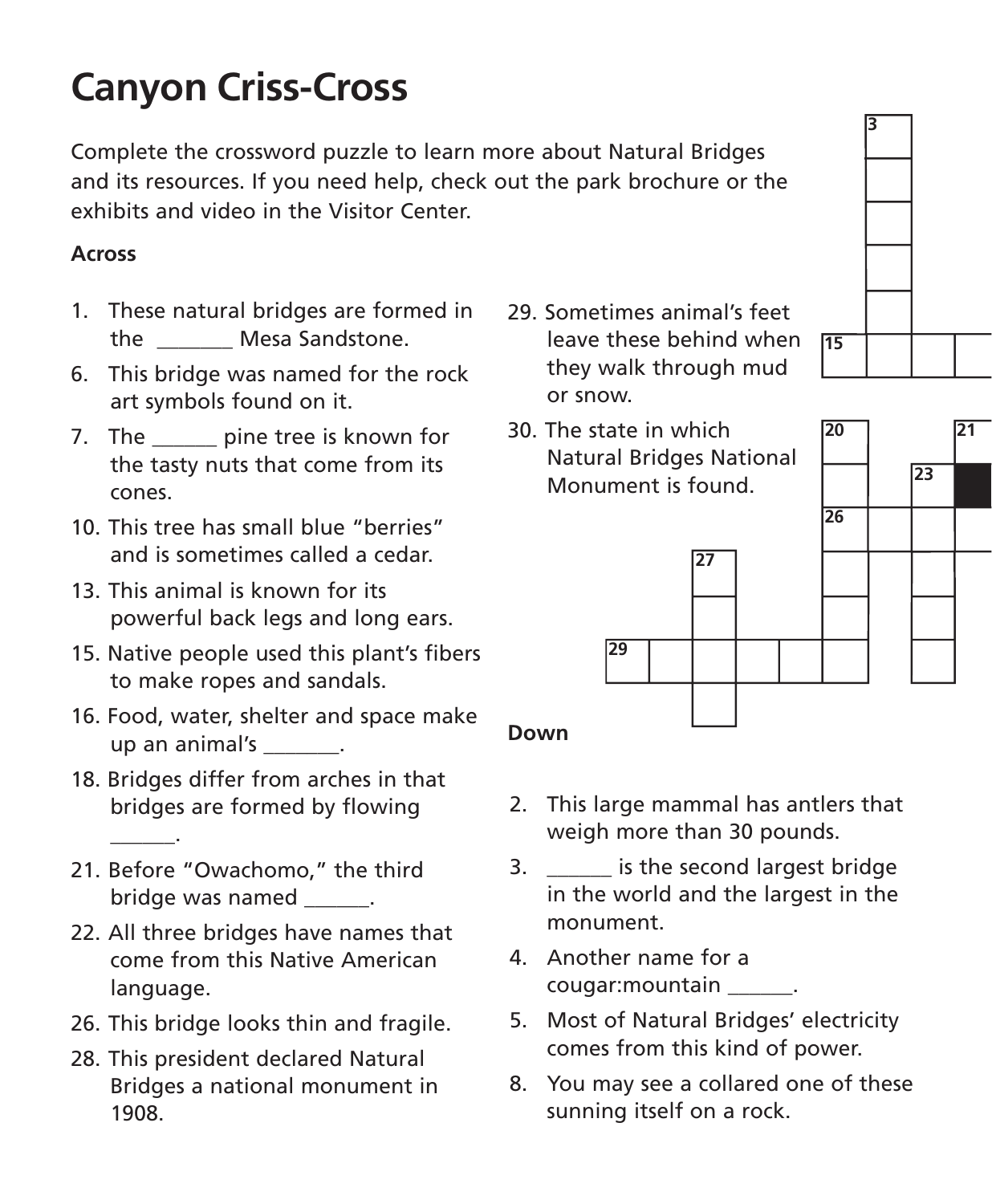### **Canyon Criss-Cross**

Complete the crossword puzzle to learn more about Natural Bridges and its resources. If you need help, check out the park brochure or the exhibits and video in the Visitor Center.

#### **Across**

- 1. These natural bridges are formed in the \_\_\_\_\_\_\_ Mesa Sandstone.
- 6. This bridge was named for the rock art symbols found on it.
- 7. The \_\_\_\_\_\_ pine tree is known for the tasty nuts that come from its cones.
- 10. This tree has small blue "berries" and is sometimes called a cedar.
- 13. This animal is known for its powerful back legs and long ears.
- 15. Native people used this plant's fibers to make ropes and sandals.
- 16. Food, water, shelter and space make up an animal's \_\_\_\_\_\_\_.
- 18. Bridges differ from arches in that bridges are formed by flowing
- 21. Before "Owachomo," the third bridge was named  $\qquad \qquad$ .

\_\_\_\_\_\_.

- 22. All three bridges have names that come from this Native American language.
- 26. This bridge looks thin and fragile.
- 28. This president declared Natural Bridges a national monument in 1908.
- 29. Sometimes animal's feet leave these behind when they walk through mud or snow.
- 30. The state in which Natural Bridges National Monument is found.

**29**





2. This large mammal has antlers that weigh more than 30 pounds.

**27**

- 3. \_\_\_\_\_\_ is the second largest bridge in the world and the largest in the monument.
- 4. Another name for a cougar:mountain \_\_\_\_\_\_.
- 5. Most of Natural Bridges' electricity comes from this kind of power.
- 8. You may see a collared one of these sunning itself on a rock.

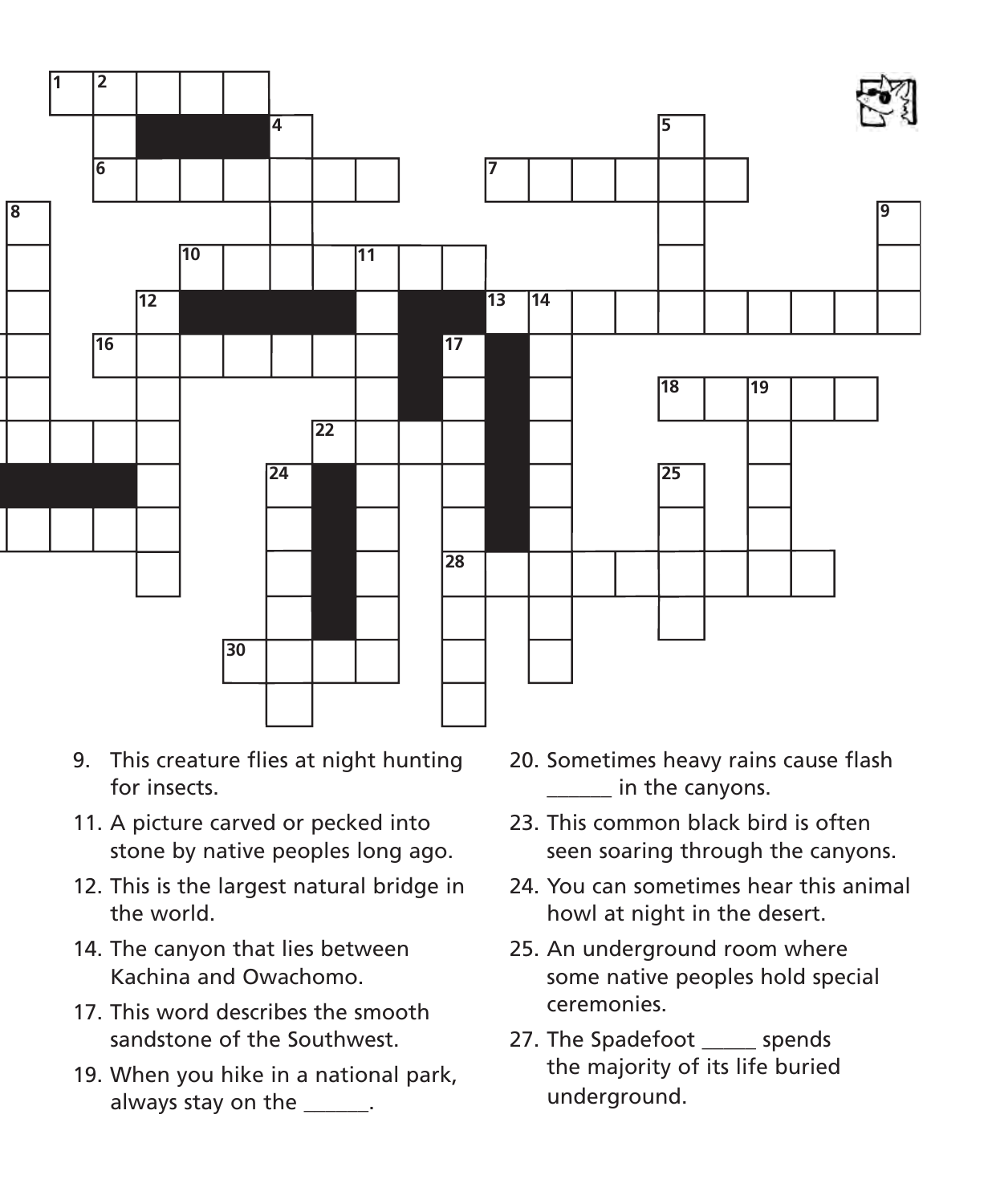

- 9. This creature flies at night hunting for insects.
- 11. A picture carved or pecked into stone by native peoples long ago.
- 12. This is the largest natural bridge in the world.
- 14. The canyon that lies between Kachina and Owachomo.
- 17. This word describes the smooth sandstone of the Southwest.
- 19. When you hike in a national park, always stay on the \_\_\_\_\_\_.
- 20. Sometimes heavy rains cause flash \_\_\_\_\_\_ in the canyons.
- 23. This common black bird is often seen soaring through the canyons.
- 24. You can sometimes hear this animal howl at night in the desert.
- 25. An underground room where some native peoples hold special ceremonies.
- 27. The Spadefoot \_\_\_\_\_ spends the majority of its life buried underground.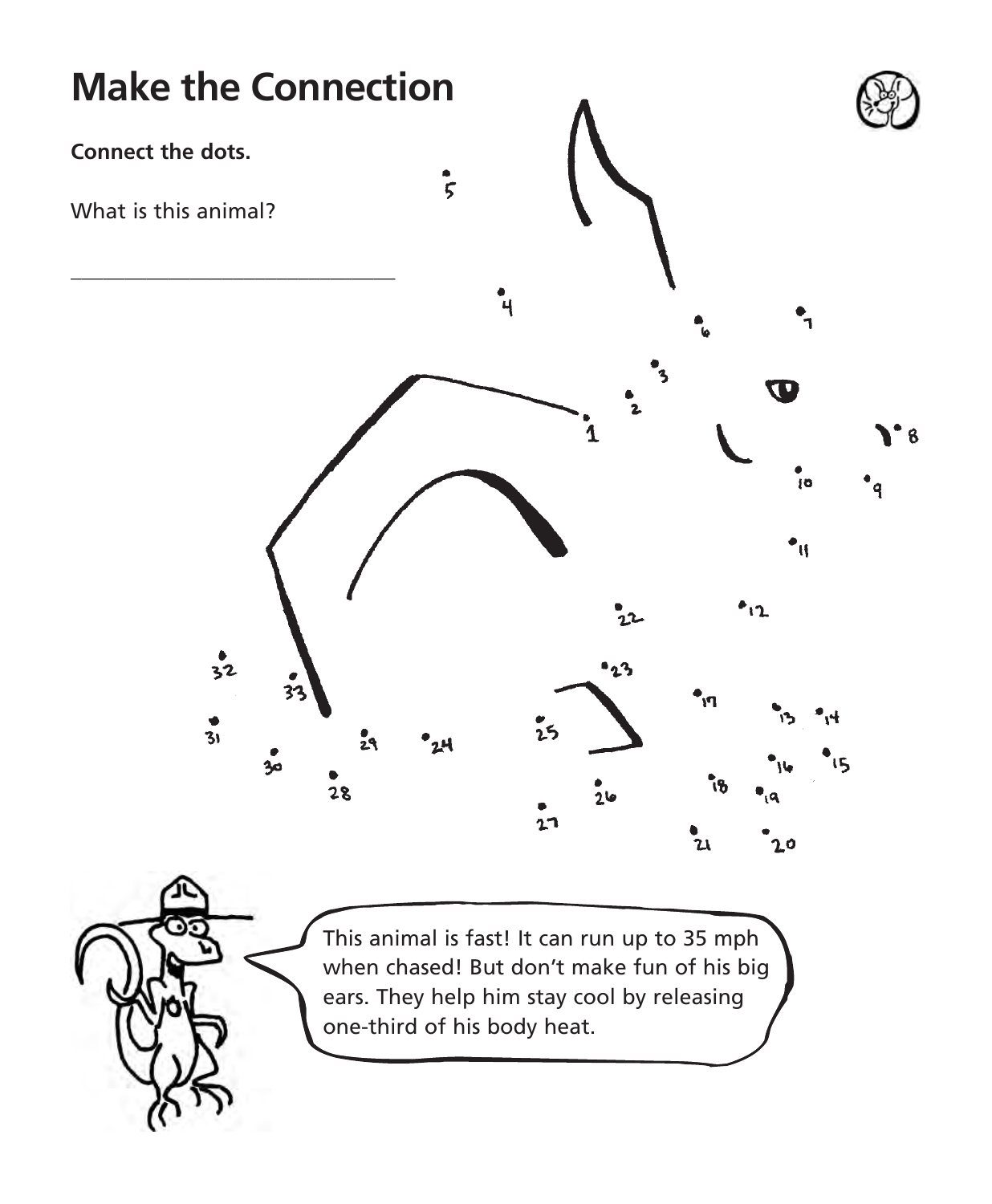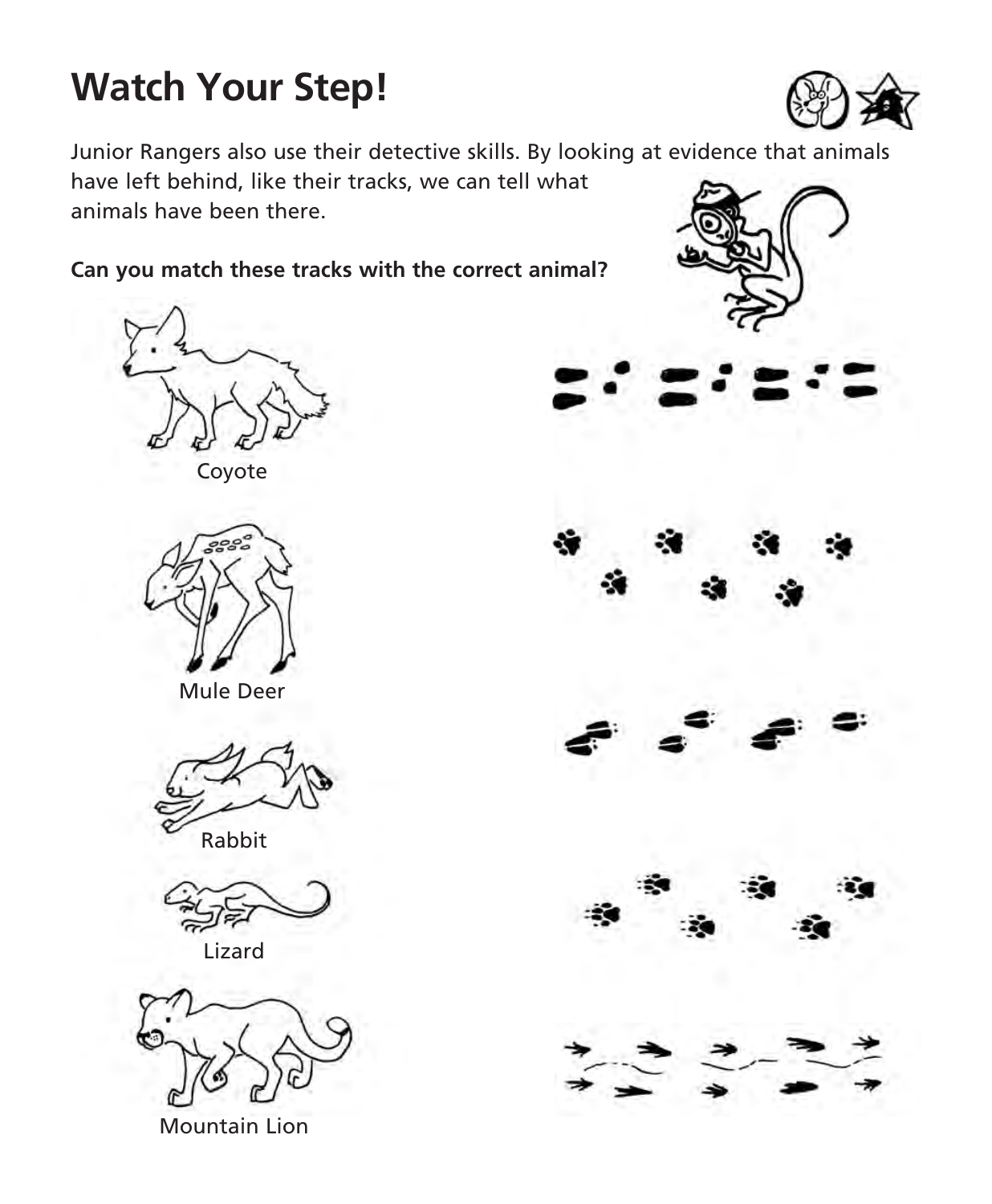## **Watch Your Step!**

Junior Rangers also use their detective skills. By looking at evidence that animals

have left behind, like their tracks, we can tell what animals have been there.

**Can you match these tracks with the correct animal?**





Mule Deer







Mountain Lion







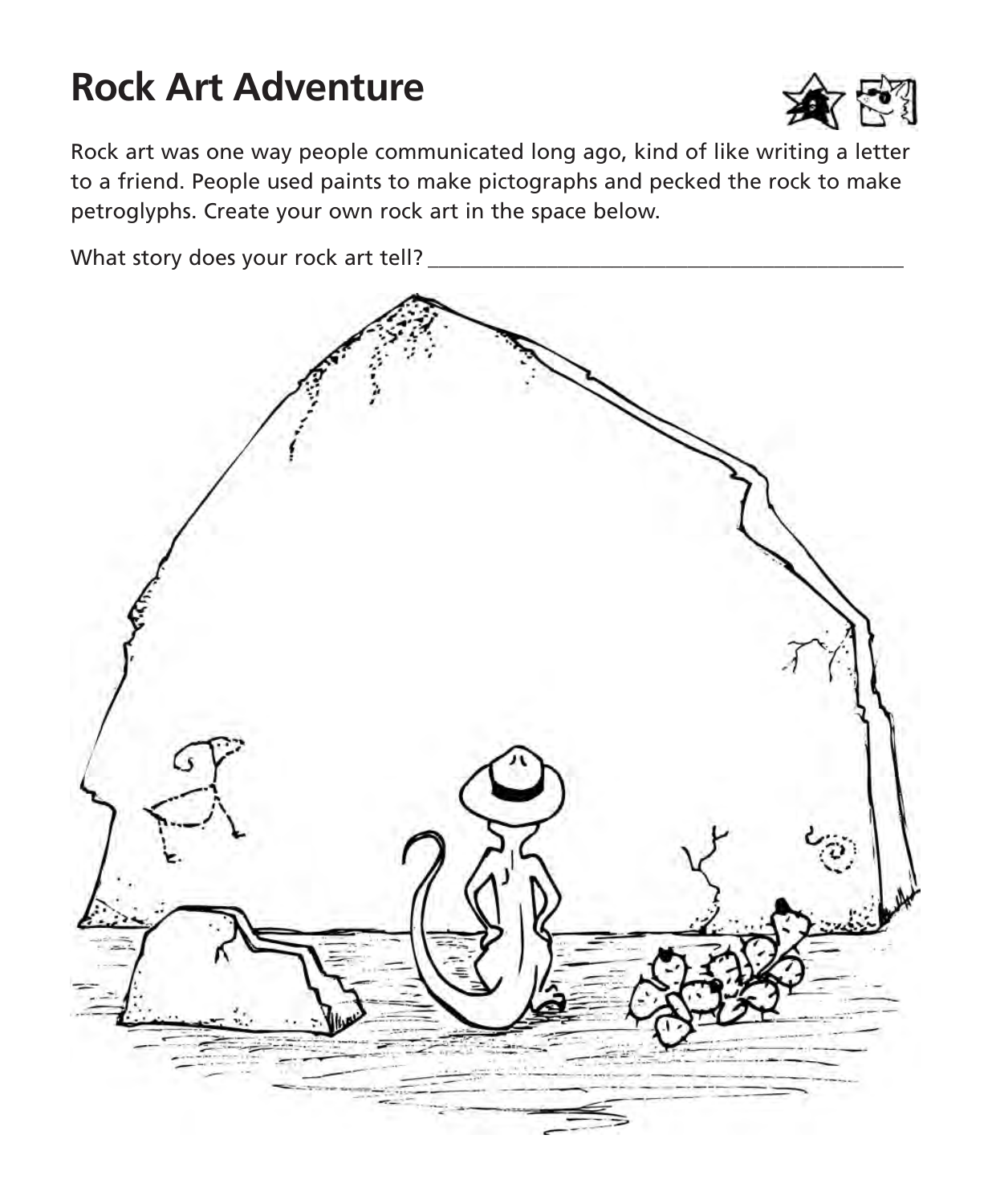### **Rock Art Adventure**



Rock art was one way people communicated long ago, kind of like writing a letter to a friend. People used paints to make pictographs and pecked the rock to make petroglyphs. Create your own rock art in the space below.

What story does your rock art tell? \_\_\_\_\_\_\_\_\_\_\_\_\_\_\_\_\_\_\_\_\_\_\_\_\_\_\_\_\_\_\_\_\_\_\_\_\_\_\_\_\_\_\_\_

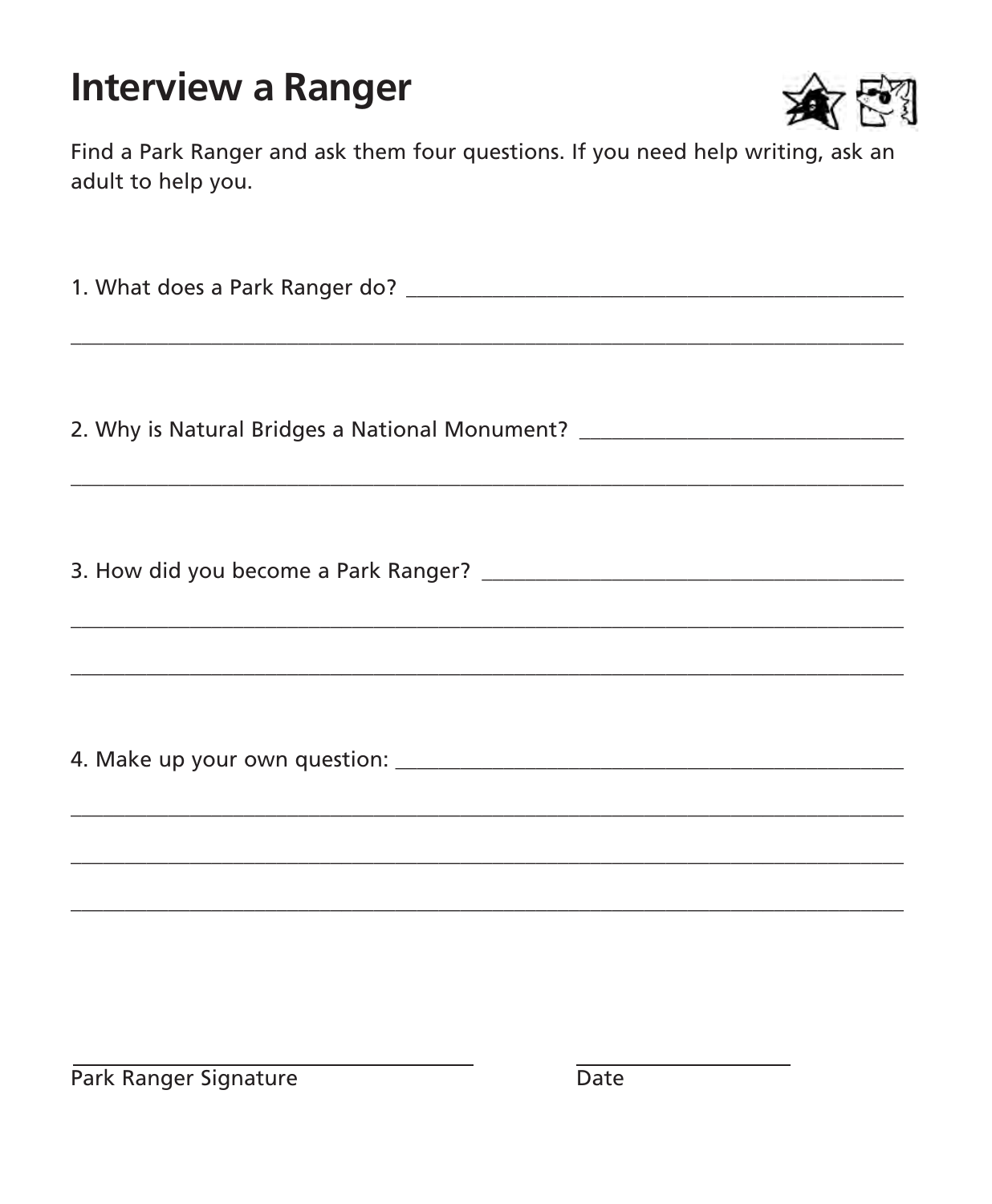#### **Interview a Ranger**



Find a Park Ranger and ask them four questions. If you need help writing, ask an adult to help you.

| ,我们也不能在这里的人,我们也不能在这里的人,我们也不能在这里的人,我们也不能在这里的人,我们也不能在这里的人,我们也不能在这里的人,我们也不能在这里的人,我们也                                     |  |  |  |
|-----------------------------------------------------------------------------------------------------------------------|--|--|--|
| 2. Why is Natural Bridges a National Monument? _________________________________                                      |  |  |  |
| ,我们的人们就会在这里,我们的人们就会在这里,我们的人们就会在这里,我们的人们就会在这里,我们的人们就会在这里,我们的人们就会在这里,我们的人们就会在这里,我们                                      |  |  |  |
| <u> 1989 - Johann Stoff, deutscher Stoff, der Stoff, der Stoff, der Stoff, der Stoff, der Stoff, der Stoff, der S</u> |  |  |  |
| <u>,我们就会在这里的时候,我们就会在这里的时候,我们就会在这里的时候,我们就会在这里的时候,我们就会在这里的时候,我们就会在这里的时候,我们就会在这里的时候,我</u>                                |  |  |  |